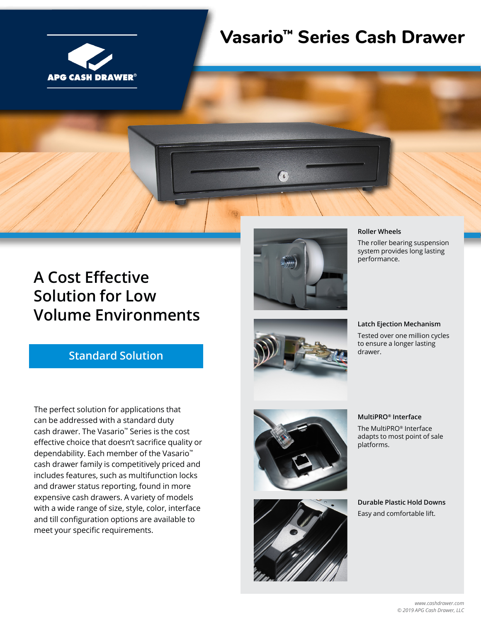

# **Vasario™ Series Cash Drawer**

## **A Cost Effective Solution for Low Volume Environments**

## **Standard Solution**

The perfect solution for applications that can be addressed with a standard duty cash drawer. The Vasario™ Series is the cost effective choice that doesn't sacrifice quality or dependability. Each member of the Vasario™ cash drawer family is competitively priced and includes features, such as multifunction locks and drawer status reporting, found in more expensive cash drawers. A variety of models with a wide range of size, style, color, interface and till configuration options are available to meet your specific requirements.



#### **Roller Wheels**

The roller bearing suspension system provides long lasting performance.

#### **Latch Ejection Mechanism**

Tested over one million cycles to ensure a longer lasting drawer.





#### **MultiPRO® Interface**

The MultiPRO® Interface adapts to most point of sale platforms.

**Durable Plastic Hold Downs** Easy and comfortable lift.